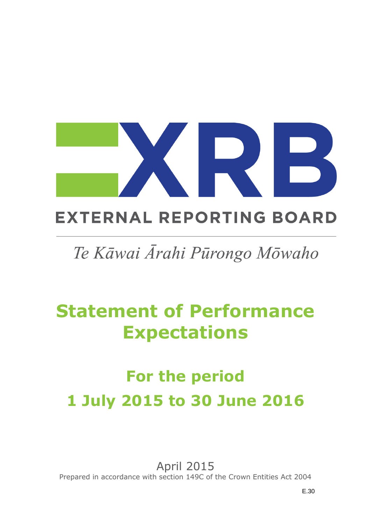

# **EXTERNAL REPORTING BOARD**

# Te Kāwai Ārahi Pūrongo Mōwaho

# **Statement of Performance Expectations**

# **For the period 1 July 2015 to 30 June 2016**

April 2015 Prepared in accordance with section 149C of the Crown Entities Act 2004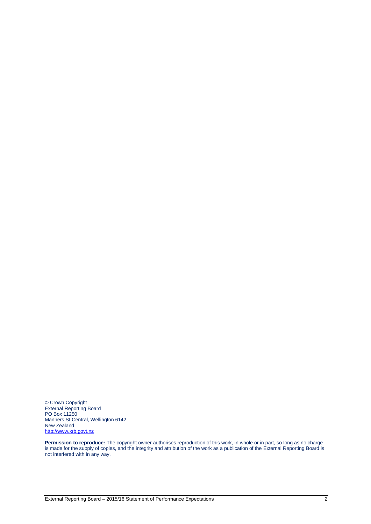© Crown Copyright External Reporting Board PO Box 11250 Manners St Central, Wellington 6142 New Zealand [http://www.xrb.govt.nz](http://www.xrb.govt.nz/)

**Permission to reproduce:** The copyright owner authorises reproduction of this work, in whole or in part, so long as no charge is made for the supply of copies, and the integrity and attribution of the work as a publication of the External Reporting Board is not interfered with in any way.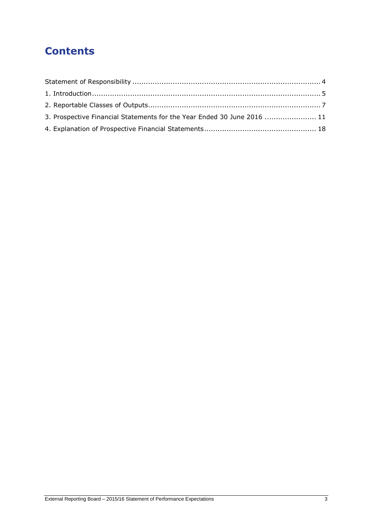# **Contents**

| 3. Prospective Financial Statements for the Year Ended 30 June 2016  11 |  |
|-------------------------------------------------------------------------|--|
|                                                                         |  |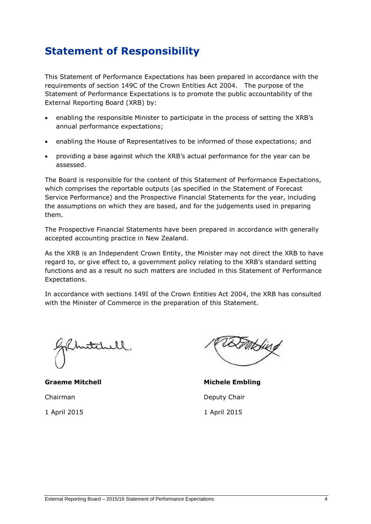# <span id="page-3-0"></span>**Statement of Responsibility**

This Statement of Performance Expectations has been prepared in accordance with the requirements of section 149C of the Crown Entities Act 2004. The purpose of the Statement of Performance Expectations is to promote the public accountability of the External Reporting Board (XRB) by:

- enabling the responsible Minister to participate in the process of setting the XRB's annual performance expectations;
- enabling the House of Representatives to be informed of those expectations; and
- providing a base against which the XRB's actual performance for the year can be assessed.

The Board is responsible for the content of this Statement of Performance Expectations, which comprises the reportable outputs (as specified in the Statement of Forecast Service Performance) and the Prospective Financial Statements for the year, including the assumptions on which they are based, and for the judgements used in preparing them.

The Prospective Financial Statements have been prepared in accordance with generally accepted accounting practice in New Zealand.

As the XRB is an Independent Crown Entity, the Minister may not direct the XRB to have regard to, or give effect to, a government policy relating to the XRB's standard setting functions and as a result no such matters are included in this Statement of Performance Expectations.

In accordance with sections 149I of the Crown Entities Act 2004, the XRB has consulted with the Minister of Commerce in the preparation of this Statement.

**Graeme Mitchell Michele Embling** Chairman Deputy Chair 1 April 2015 1 April 2015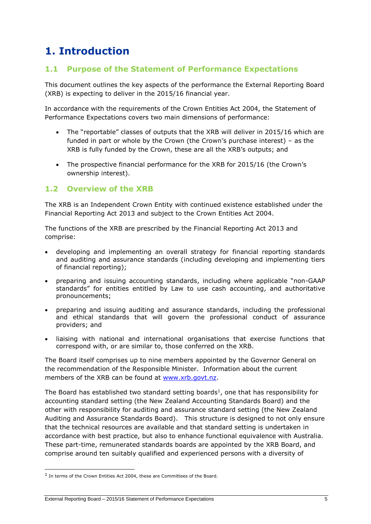# <span id="page-4-0"></span>**1. Introduction**

### **1.1 Purpose of the Statement of Performance Expectations**

This document outlines the key aspects of the performance the External Reporting Board (XRB) is expecting to deliver in the 2015/16 financial year.

In accordance with the requirements of the Crown Entities Act 2004, the Statement of Performance Expectations covers two main dimensions of performance:

- The "reportable" classes of outputs that the XRB will deliver in 2015/16 which are funded in part or whole by the Crown (the Crown's purchase interest) – as the XRB is fully funded by the Crown, these are all the XRB's outputs; and
- The prospective financial performance for the XRB for 2015/16 (the Crown's ownership interest).

### **1.2 Overview of the XRB**

The XRB is an Independent Crown Entity with continued existence established under the Financial Reporting Act 2013 and subject to the Crown Entities Act 2004.

The functions of the XRB are prescribed by the Financial Reporting Act 2013 and comprise:

- developing and implementing an overall strategy for financial reporting standards and auditing and assurance standards (including developing and implementing tiers of financial reporting);
- preparing and issuing accounting standards, including where applicable "non-GAAP standards" for entities entitled by Law to use cash accounting, and authoritative pronouncements;
- preparing and issuing auditing and assurance standards, including the professional and ethical standards that will govern the professional conduct of assurance providers; and
- liaising with national and international organisations that exercise functions that correspond with, or are similar to, those conferred on the XRB.

The Board itself comprises up to nine members appointed by the Governor General on the recommendation of the Responsible Minister. Information about the current members of the XRB can be found at [www.xrb.govt.nz.](http://www.xrb.govt.nz/)

The Board has established two standard setting boards<sup>1</sup>, one that has responsibility for accounting standard setting (the New Zealand Accounting Standards Board) and the other with responsibility for auditing and assurance standard setting (the New Zealand Auditing and Assurance Standards Board). This structure is designed to not only ensure that the technical resources are available and that standard setting is undertaken in accordance with best practice, but also to enhance functional equivalence with Australia. These part-time, remunerated standards boards are appointed by the XRB Board, and comprise around ten suitably qualified and experienced persons with a diversity of

1

<sup>&</sup>lt;sup>1</sup> In terms of the Crown Entities Act 2004, these are Committees of the Board.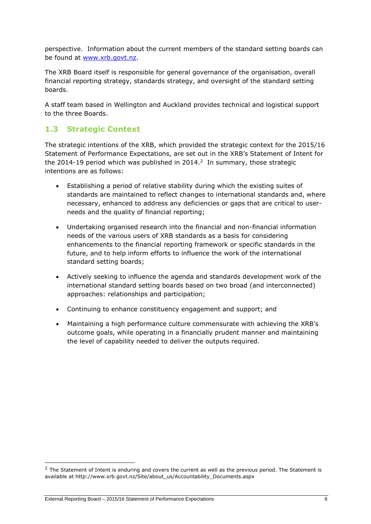perspective. Information about the current members of the standard setting boards can be found at [www.xrb.govt.nz.](http://www.xrb.govt.nz/)

The XRB Board itself is responsible for general governance of the organisation, overall financial reporting strategy, standards strategy, and oversight of the standard setting boards.

A staff team based in Wellington and Auckland provides technical and logistical support to the three Boards.

## **1.3 Strategic Context**

The strategic intentions of the XRB, which provided the strategic context for the 2015/16 Statement of Performance Expectations, are set out in the XRB's Statement of Intent for the 2014-19 period which was published in 2014. $^2$  In summary, those strategic intentions are as follows:

- Establishing a period of relative stability during which the existing suites of standards are maintained to reflect changes to international standards and, where necessary, enhanced to address any deficiencies or gaps that are critical to userneeds and the quality of financial reporting;
- Undertaking organised research into the financial and non-financial information needs of the various users of XRB standards as a basis for considering enhancements to the financial reporting framework or specific standards in the future, and to help inform efforts to influence the work of the international standard setting boards;
- Actively seeking to influence the agenda and standards development work of the international standard setting boards based on two broad (and interconnected) approaches: relationships and participation;
- Continuing to enhance constituency engagement and support; and
- Maintaining a high performance culture commensurate with achieving the XRB's outcome goals, while operating in a financially prudent manner and maintaining the level of capability needed to deliver the outputs required.

-

 $<sup>2</sup>$  The Statement of Intent is enduring and covers the current as well as the previous period. The Statement is</sup> available at http://www.xrb.govt.nz/Site/about\_us/Accountability\_Documents.aspx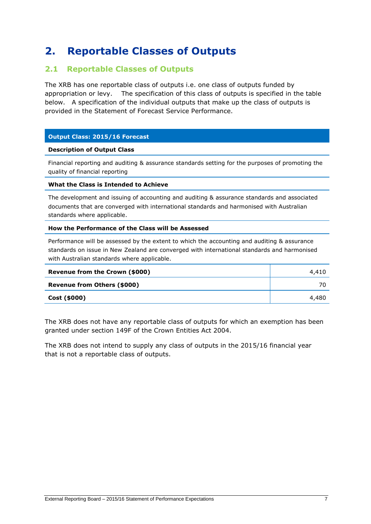# <span id="page-6-0"></span>**2. Reportable Classes of Outputs**

### **2.1 Reportable Classes of Outputs**

The XRB has one reportable class of outputs i.e. one class of outputs funded by appropriation or levy. The specification of this class of outputs is specified in the table below. A specification of the individual outputs that make up the class of outputs is provided in the Statement of Forecast Service Performance.

#### **Output Class: 2015/16 Forecast**

#### **Description of Output Class**

Financial reporting and auditing & assurance standards setting for the purposes of promoting the quality of financial reporting

#### **What the Class is Intended to Achieve**

The development and issuing of accounting and auditing & assurance standards and associated documents that are converged with international standards and harmonised with Australian standards where applicable.

#### **How the Performance of the Class will be Assessed**

Performance will be assessed by the extent to which the accounting and auditing & assurance standards on issue in New Zealand are converged with international standards and harmonised with Australian standards where applicable.

| Revenue from the Crown (\$000) | 4,410 |
|--------------------------------|-------|
| Revenue from Others (\$000)    |       |
| Cost (\$000)                   | 4,480 |

The XRB does not have any reportable class of outputs for which an exemption has been granted under section 149F of the Crown Entities Act 2004.

The XRB does not intend to supply any class of outputs in the 2015/16 financial year that is not a reportable class of outputs.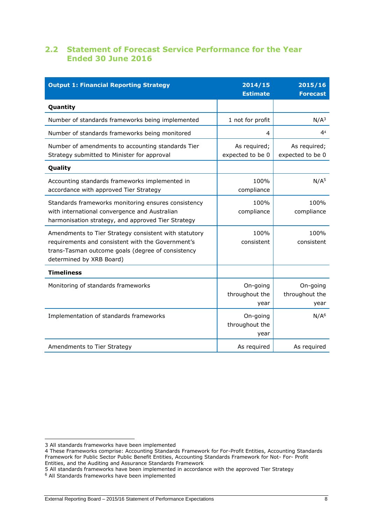## **2.2 Statement of Forecast Service Performance for the Year Ended 30 June 2016**

| <b>Output 1: Financial Reporting Strategy</b>                                                                                                                                               | 2014/15<br><b>Estimate</b>         | 2015/16<br><b>Forecast</b>         |
|---------------------------------------------------------------------------------------------------------------------------------------------------------------------------------------------|------------------------------------|------------------------------------|
| Quantity                                                                                                                                                                                    |                                    |                                    |
| Number of standards frameworks being implemented                                                                                                                                            | 1 not for profit                   | N/A <sup>3</sup>                   |
| Number of standards frameworks being monitored                                                                                                                                              | 4                                  | 4 <sup>4</sup>                     |
| Number of amendments to accounting standards Tier<br>Strategy submitted to Minister for approval                                                                                            | As required;<br>expected to be 0   | As required;<br>expected to be 0   |
| Quality                                                                                                                                                                                     |                                    |                                    |
| Accounting standards frameworks implemented in<br>accordance with approved Tier Strategy                                                                                                    | 100%<br>compliance                 | N/A <sup>5</sup>                   |
| Standards frameworks monitoring ensures consistency<br>with international convergence and Australian<br>harmonisation strategy, and approved Tier Strategy                                  | 100%<br>compliance                 | 100%<br>compliance                 |
| Amendments to Tier Strategy consistent with statutory<br>requirements and consistent with the Government's<br>trans-Tasman outcome goals (degree of consistency<br>determined by XRB Board) | 100%<br>consistent                 | 100%<br>consistent                 |
| <b>Timeliness</b>                                                                                                                                                                           |                                    |                                    |
| Monitoring of standards frameworks                                                                                                                                                          | On-going<br>throughout the<br>year | On-going<br>throughout the<br>year |
| Implementation of standards frameworks                                                                                                                                                      | On-going<br>throughout the<br>year | N/A <sup>6</sup>                   |
| Amendments to Tier Strategy                                                                                                                                                                 | As required                        | As required                        |

-

<sup>3</sup> All standards frameworks have been implemented

<sup>4</sup> These Frameworks comprise: Accounting Standards Framework for For-Profit Entities, Accounting Standards Framework for Public Sector Public Benefit Entities, Accounting Standards Framework for Not- For- Profit Entities, and the Auditing and Assurance Standards Framework

<sup>5</sup> All standards frameworks have been implemented in accordance with the approved Tier Strategy

<sup>6</sup> All Standards frameworks have been implemented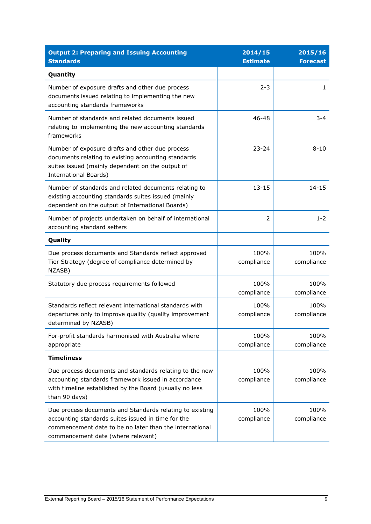| <b>Output 2: Preparing and Issuing Accounting</b><br><b>Standards</b>                                                                                                                                           | 2014/15<br><b>Estimate</b> | 2015/16<br><b>Forecast</b> |
|-----------------------------------------------------------------------------------------------------------------------------------------------------------------------------------------------------------------|----------------------------|----------------------------|
| Quantity                                                                                                                                                                                                        |                            |                            |
| Number of exposure drafts and other due process<br>documents issued relating to implementing the new<br>accounting standards frameworks                                                                         | $2 - 3$                    | 1                          |
| Number of standards and related documents issued<br>relating to implementing the new accounting standards<br>frameworks                                                                                         | 46-48                      | $3 - 4$                    |
| Number of exposure drafts and other due process<br>documents relating to existing accounting standards<br>suites issued (mainly dependent on the output of<br><b>International Boards)</b>                      | $23 - 24$                  | $8 - 10$                   |
| Number of standards and related documents relating to<br>existing accounting standards suites issued (mainly<br>dependent on the output of International Boards)                                                | $13 - 15$                  | $14 - 15$                  |
| Number of projects undertaken on behalf of international<br>accounting standard setters                                                                                                                         | 2                          | $1 - 2$                    |
| Quality                                                                                                                                                                                                         |                            |                            |
| Due process documents and Standards reflect approved<br>Tier Strategy (degree of compliance determined by<br>NZASB)                                                                                             | 100%<br>compliance         | 100%<br>compliance         |
| Statutory due process requirements followed                                                                                                                                                                     | 100%<br>compliance         | 100%<br>compliance         |
| Standards reflect relevant international standards with<br>departures only to improve quality (quality improvement<br>determined by NZASB)                                                                      | 100%<br>compliance         | 100%<br>compliance         |
| For-profit standards harmonised with Australia where<br>appropriate                                                                                                                                             | 100%<br>compliance         | 100%<br>compliance         |
| <b>Timeliness</b>                                                                                                                                                                                               |                            |                            |
| Due process documents and standards relating to the new<br>accounting standards framework issued in accordance<br>with timeline established by the Board (usually no less<br>than 90 days)                      | 100%<br>compliance         | 100%<br>compliance         |
| Due process documents and Standards relating to existing<br>accounting standards suites issued in time for the<br>commencement date to be no later than the international<br>commencement date (where relevant) | 100%<br>compliance         | 100%<br>compliance         |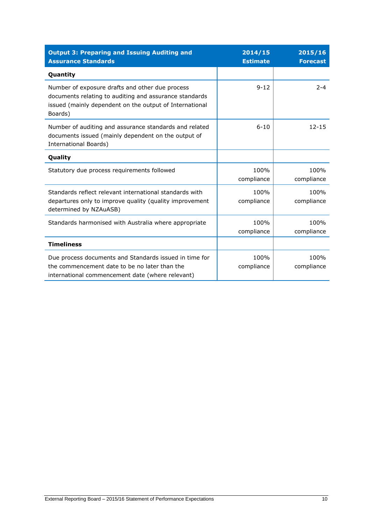| <b>Output 3: Preparing and Issuing Auditing and</b><br><b>Assurance Standards</b>                                                                                               | 2014/15<br><b>Estimate</b> | 2015/16<br><b>Forecast</b> |
|---------------------------------------------------------------------------------------------------------------------------------------------------------------------------------|----------------------------|----------------------------|
| Quantity                                                                                                                                                                        |                            |                            |
| Number of exposure drafts and other due process<br>documents relating to auditing and assurance standards<br>issued (mainly dependent on the output of International<br>Boards) | $9 - 12$                   | $2 - 4$                    |
| Number of auditing and assurance standards and related<br>documents issued (mainly dependent on the output of<br><b>International Boards)</b>                                   | $6 - 10$                   | $12 - 15$                  |
| Quality                                                                                                                                                                         |                            |                            |
| Statutory due process requirements followed                                                                                                                                     | 100%<br>compliance         | 100%<br>compliance         |
| Standards reflect relevant international standards with<br>departures only to improve quality (quality improvement<br>determined by NZAuASB)                                    | 100%<br>compliance         | 100%<br>compliance         |
| Standards harmonised with Australia where appropriate                                                                                                                           | 100%<br>compliance         | 100%<br>compliance         |
| <b>Timeliness</b>                                                                                                                                                               |                            |                            |
| Due process documents and Standards issued in time for<br>the commencement date to be no later than the<br>international commencement date (where relevant)                     | 100%<br>compliance         | 100%<br>compliance         |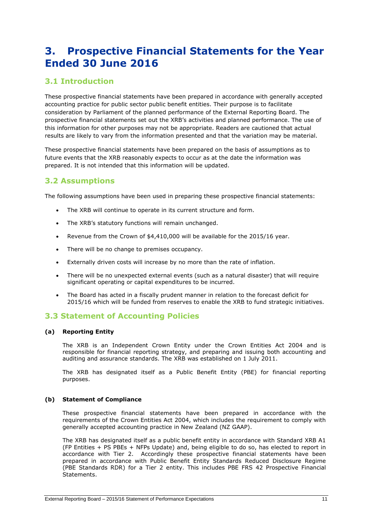# <span id="page-10-0"></span>**3. Prospective Financial Statements for the Year Ended 30 June 2016**

## **3.1 Introduction**

These prospective financial statements have been prepared in accordance with generally accepted accounting practice for public sector public benefit entities. Their purpose is to facilitate consideration by Parliament of the planned performance of the External Reporting Board. The prospective financial statements set out the XRB's activities and planned performance. The use of this information for other purposes may not be appropriate. Readers are cautioned that actual results are likely to vary from the information presented and that the variation may be material.

These prospective financial statements have been prepared on the basis of assumptions as to future events that the XRB reasonably expects to occur as at the date the information was prepared. It is not intended that this information will be updated.

### **3.2 Assumptions**

The following assumptions have been used in preparing these prospective financial statements:

- The XRB will continue to operate in its current structure and form.
- The XRB's statutory functions will remain unchanged.
- Revenue from the Crown of \$4,410,000 will be available for the 2015/16 year.
- There will be no change to premises occupancy.
- Externally driven costs will increase by no more than the rate of inflation.
- There will be no unexpected external events (such as a natural disaster) that will require significant operating or capital expenditures to be incurred.
- The Board has acted in a fiscally prudent manner in relation to the forecast deficit for 2015/16 which will be funded from reserves to enable the XRB to fund strategic initiatives.

### **3.3 Statement of Accounting Policies**

#### **(a) Reporting Entity**

The XRB is an Independent Crown Entity under the Crown Entities Act 2004 and is responsible for financial reporting strategy, and preparing and issuing both accounting and auditing and assurance standards. The XRB was established on 1 July 2011.

The XRB has designated itself as a Public Benefit Entity (PBE) for financial reporting purposes.

#### **(b) Statement of Compliance**

These prospective financial statements have been prepared in accordance with the requirements of the Crown Entities Act 2004, which includes the requirement to comply with generally accepted accounting practice in New Zealand (NZ GAAP).

The XRB has designated itself as a public benefit entity in accordance with Standard XRB A1 (FP Entities + PS PBEs + NFPs Update) and, being eligible to do so, has elected to report in accordance with Tier 2. Accordingly these prospective financial statements have been prepared in accordance with Public Benefit Entity Standards Reduced Disclosure Regime (PBE Standards RDR) for a Tier 2 entity. This includes PBE FRS 42 Prospective Financial Statements.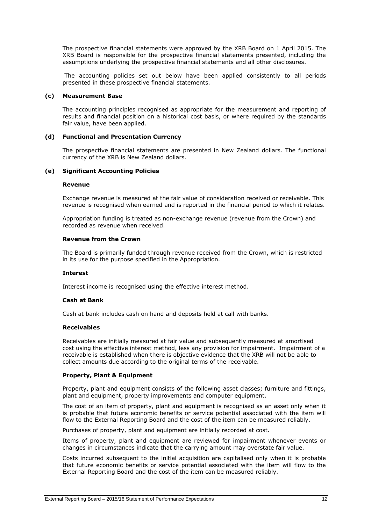The prospective financial statements were approved by the XRB Board on 1 April 2015. The XRB Board is responsible for the prospective financial statements presented, including the assumptions underlying the prospective financial statements and all other disclosures.

The accounting policies set out below have been applied consistently to all periods presented in these prospective financial statements.

#### **(c) Measurement Base**

The accounting principles recognised as appropriate for the measurement and reporting of results and financial position on a historical cost basis, or where required by the standards fair value, have been applied.

#### **(d) Functional and Presentation Currency**

The prospective financial statements are presented in New Zealand dollars. The functional currency of the XRB is New Zealand dollars.

#### **(e) Significant Accounting Policies**

#### **Revenue**

Exchange revenue is measured at the fair value of consideration received or receivable. This revenue is recognised when earned and is reported in the financial period to which it relates.

Appropriation funding is treated as non-exchange revenue (revenue from the Crown) and recorded as revenue when received.

#### **Revenue from the Crown**

The Board is primarily funded through revenue received from the Crown, which is restricted in its use for the purpose specified in the Appropriation.

#### **Interest**

Interest income is recognised using the effective interest method.

#### **Cash at Bank**

Cash at bank includes cash on hand and deposits held at call with banks.

#### **Receivables**

Receivables are initially measured at fair value and subsequently measured at amortised cost using the effective interest method, less any provision for impairment. Impairment of a receivable is established when there is objective evidence that the XRB will not be able to collect amounts due according to the original terms of the receivable.

#### **Property, Plant & Equipment**

Property, plant and equipment consists of the following asset classes; furniture and fittings, plant and equipment, property improvements and computer equipment.

The cost of an item of property, plant and equipment is recognised as an asset only when it is probable that future economic benefits or service potential associated with the item will flow to the External Reporting Board and the cost of the item can be measured reliably.

Purchases of property, plant and equipment are initially recorded at cost.

Items of property, plant and equipment are reviewed for impairment whenever events or changes in circumstances indicate that the carrying amount may overstate fair value.

Costs incurred subsequent to the initial acquisition are capitalised only when it is probable that future economic benefits or service potential associated with the item will flow to the External Reporting Board and the cost of the item can be measured reliably.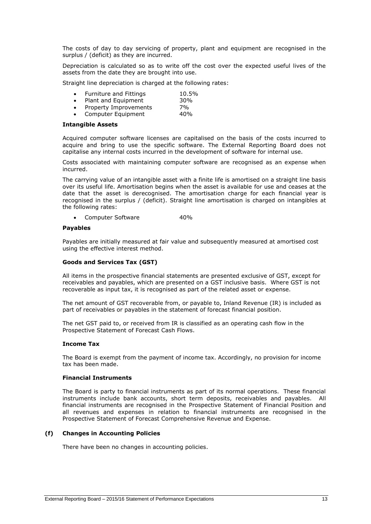The costs of day to day servicing of property, plant and equipment are recognised in the surplus / (deficit) as they are incurred.

Depreciation is calculated so as to write off the cost over the expected useful lives of the assets from the date they are brought into use.

Straight line depreciation is charged at the following rates:

Furniture and Fittings 10.5% • Plant and Equipment 30%<br>• Property Improvements 7% Property Improvements

Computer Equipment 40%

#### **Intangible Assets**

Acquired computer software licenses are capitalised on the basis of the costs incurred to acquire and bring to use the specific software. The External Reporting Board does not capitalise any internal costs incurred in the development of software for internal use.

Costs associated with maintaining computer software are recognised as an expense when incurred.

The carrying value of an intangible asset with a finite life is amortised on a straight line basis over its useful life. Amortisation begins when the asset is available for use and ceases at the date that the asset is derecognised. The amortisation charge for each financial year is recognised in the surplus / (deficit). Straight line amortisation is charged on intangibles at the following rates:

Computer Software 40%

#### **Payables**

Payables are initially measured at fair value and subsequently measured at amortised cost using the effective interest method.

#### **Goods and Services Tax (GST)**

All items in the prospective financial statements are presented exclusive of GST, except for receivables and payables, which are presented on a GST inclusive basis. Where GST is not recoverable as input tax, it is recognised as part of the related asset or expense.

The net amount of GST recoverable from, or payable to, Inland Revenue (IR) is included as part of receivables or payables in the statement of forecast financial position.

The net GST paid to, or received from IR is classified as an operating cash flow in the Prospective Statement of Forecast Cash Flows.

#### **Income Tax**

The Board is exempt from the payment of income tax. Accordingly, no provision for income tax has been made.

#### **Financial Instruments**

The Board is party to financial instruments as part of its normal operations. These financial instruments include bank accounts, short term deposits, receivables and payables. All financial instruments are recognised in the Prospective Statement of Financial Position and all revenues and expenses in relation to financial instruments are recognised in the Prospective Statement of Forecast Comprehensive Revenue and Expense.

#### **(f) Changes in Accounting Policies**

There have been no changes in accounting policies.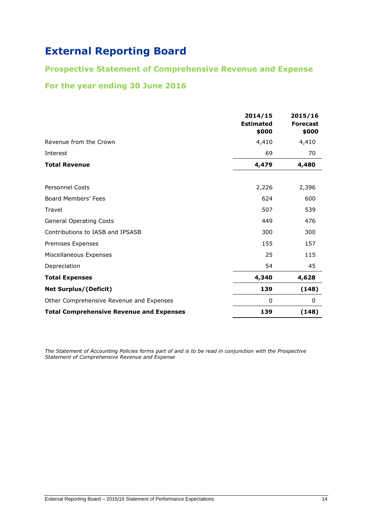# **Prospective Statement of Comprehensive Revenue and Expense**

## **For the year ending 30 June 2016**

|                                                 | 2014/15<br><b>Estimated</b><br>\$000 | 2015/16<br><b>Forecast</b><br>\$000 |
|-------------------------------------------------|--------------------------------------|-------------------------------------|
| Revenue from the Crown                          | 4,410                                | 4,410                               |
| Interest                                        | 69                                   | 70                                  |
| <b>Total Revenue</b>                            | 4,479                                | 4,480                               |
|                                                 |                                      |                                     |
| <b>Personnel Costs</b>                          | 2,226                                | 2,396                               |
| Board Members' Fees                             | 624                                  | 600                                 |
| Travel                                          | 507                                  | 539                                 |
| <b>General Operating Costs</b>                  | 449                                  | 476                                 |
| Contributions to IASB and IPSASB                | 300                                  | 300                                 |
| Premises Expenses                               | 155                                  | 157                                 |
| Miscellaneous Expenses                          | 25                                   | 115                                 |
| Depreciation                                    | 54                                   | 45                                  |
| <b>Total Expenses</b>                           | 4,340                                | 4,628                               |
| <b>Net Surplus/(Deficit)</b>                    | 139                                  | (148)                               |
| Other Comprehensive Revenue and Expenses        | 0                                    | 0                                   |
| <b>Total Comprehensive Revenue and Expenses</b> | 139                                  | (148)                               |

*The Statement of Accounting Policies forms part of and is to be read in conjunction with the Prospective Statement of Comprehensive Revenue and Expense*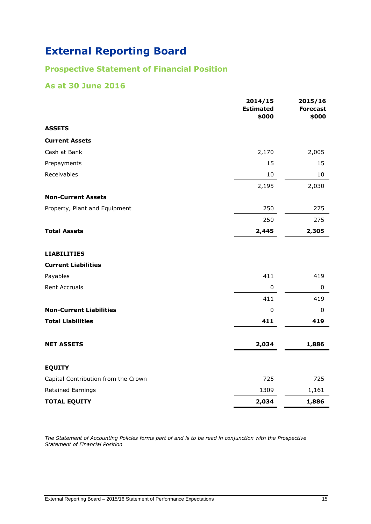# **Prospective Statement of Financial Position**

### **As at 30 June 2016**

|                                     | 2014/15<br><b>Estimated</b><br>\$000 | 2015/16<br><b>Forecast</b><br>\$000 |
|-------------------------------------|--------------------------------------|-------------------------------------|
| <b>ASSETS</b>                       |                                      |                                     |
| <b>Current Assets</b>               |                                      |                                     |
| Cash at Bank                        | 2,170                                | 2,005                               |
| Prepayments                         | 15                                   | 15                                  |
| Receivables                         | $10\,$                               | $10\,$                              |
|                                     | 2,195                                | 2,030                               |
| <b>Non-Current Assets</b>           |                                      |                                     |
| Property, Plant and Equipment       | 250                                  | 275                                 |
|                                     | 250                                  | 275                                 |
| <b>Total Assets</b>                 | 2,445                                | 2,305                               |
| <b>LIABILITIES</b>                  |                                      |                                     |
| <b>Current Liabilities</b>          |                                      |                                     |
| Payables                            | 411                                  | 419                                 |
| Rent Accruals                       | $\pmb{0}$                            | $\mathbf 0$                         |
|                                     | 411                                  | 419                                 |
| <b>Non-Current Liabilities</b>      | $\overline{0}$                       | 0                                   |
| <b>Total Liabilities</b>            | 411                                  | 419                                 |
| <b>NET ASSETS</b>                   | 2,034                                | 1,886                               |
| <b>EQUITY</b>                       |                                      |                                     |
| Capital Contribution from the Crown | 725                                  | 725                                 |
| Retained Earnings                   | 1309                                 | 1,161                               |
| <b>TOTAL EQUITY</b>                 | 2,034                                | 1,886                               |

*The Statement of Accounting Policies forms part of and is to be read in conjunction with the Prospective Statement of Financial Position*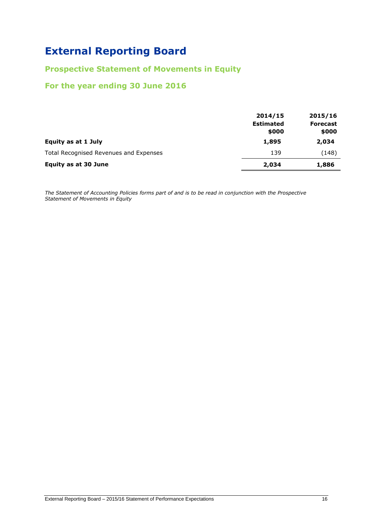## **Prospective Statement of Movements in Equity**

### **For the year ending 30 June 2016**

|                                        | 2014/15<br><b>Estimated</b><br>\$000 | 2015/16<br><b>Forecast</b><br>\$000 |
|----------------------------------------|--------------------------------------|-------------------------------------|
| Equity as at 1 July                    | 1,895                                | 2,034                               |
| Total Recognised Revenues and Expenses | 139                                  | (148)                               |
| <b>Equity as at 30 June</b>            | 2,034                                | 1,886                               |

*The Statement of Accounting Policies forms part of and is to be read in conjunction with the Prospective Statement of Movements in Equity*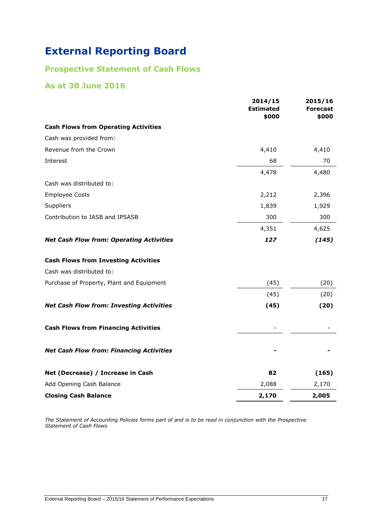# **Prospective Statement of Cash Flows**

### **As at 30 June 2016**

|                                                 | 2014/15<br><b>Estimated</b><br>\$000 | 2015/16<br><b>Forecast</b><br>\$000 |
|-------------------------------------------------|--------------------------------------|-------------------------------------|
| <b>Cash Flows from Operating Activities</b>     |                                      |                                     |
| Cash was provided from:                         |                                      |                                     |
| Revenue from the Crown                          | 4,410                                | 4,410                               |
| Interest                                        | 68                                   | 70                                  |
|                                                 | 4,478                                | 4,480                               |
| Cash was distributed to:                        |                                      |                                     |
| <b>Employee Costs</b>                           | 2,212                                | 2,396                               |
| Suppliers                                       | 1,839                                | 1,929                               |
| Contribution to IASB and IPSASB                 | 300                                  | 300                                 |
|                                                 | 4,351                                | 4,625                               |
| <b>Net Cash Flow from: Operating Activities</b> | 127                                  | (145)                               |
| <b>Cash Flows from Investing Activities</b>     |                                      |                                     |
| Cash was distributed to:                        |                                      |                                     |
| Purchase of Property, Plant and Equipment       | (45)                                 | (20)                                |
|                                                 | (45)                                 | (20)                                |
| <b>Net Cash Flow from: Investing Activities</b> | (45)                                 | (20)                                |
| <b>Cash Flows from Financing Activities</b>     |                                      |                                     |
| <b>Net Cash Flow from: Financing Activities</b> |                                      |                                     |
| Net (Decrease) / Increase in Cash               | 82                                   | (165)                               |
| Add Opening Cash Balance                        | 2,088                                | 2,170                               |
| <b>Closing Cash Balance</b>                     | 2,170                                | 2,005                               |

*The Statement of Accounting Policies forms part of and is to be read in conjunction with the Prospective Statement of Cash Flows*